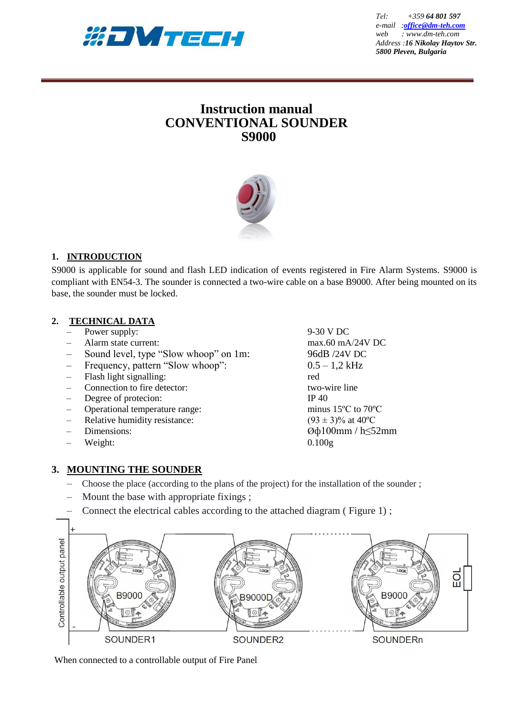

*Tel:*  $+35964801597$ *e-mail :[office@dm-teh.com](mailto:office@dm-teh.com) web : www.dm-teh.com Address :16 Nikolay Haytov Str. 5800 Pleven, Bulgaria*

# **Instruction manual CONVENTIONAL SOUNDER S9000**



# **1. INTRODUCTION**

S9000 is applicable for sound and flash LED indication of events registered in Fire Alarm Systems. S9000 is compliant with EN54-3. The sounder is connected a two-wire cable on a base B9000. After being mounted on its base, the sounder must be locked.

### **2. TECHNICAL DATA**

- Power supply: 9-30 V DC
- 
- Sound level, type "Slow whoop" on 1m: 96dB /24V DC
- Frequency, pattern "Slow whoop": 0.5 1,2 kHz
- Flash light signalling: red
- Connection to fire detector: two-wire line
- Degree of protecion: IP 40
- Operational temperature range: minus 15ºС to 70ºС
- Relative humidity resistance: (93 ± 3)% at 40°C
- 
- Weight: 0.100g

– Alarm state current: max.60 mА/24V DC – Dimensions:  $@φ100mm/h≤52mm$ 

### **3. MOUNTING THE SOUNDER**

- Choose the place (according to the plans of the project) for the installation of the sounder ;
- Mount the base with appropriate fixings;
- Connect the electrical cables according to the attached diagram ( Figure 1) ;



When connected to a controllable output of Fire Panel